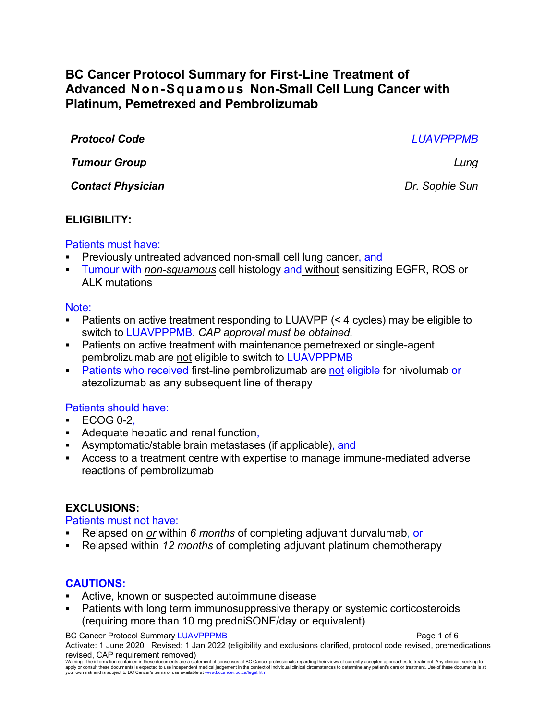# **BC Cancer Protocol Summary for First-Line Treatment of Advanced Non-Squamous Non-Small Cell Lung Cancer with Platinum, Pemetrexed and Pembrolizumab**

*Protocol Code LUAVPPPMB*

*Tumour Group Lung*

*Contact Physician Dr. Sophie Sun*

## **ELIGIBILITY:**

## Patients must have:

- Previously untreated advanced non-small cell lung cancer, and
- Tumour with *non-squamous* cell histology and without sensitizing EGFR, ROS or ALK mutations

## Note:

- Patients on active treatment responding to LUAVPP (< 4 cycles) may be eligible to switch to LUAVPPPMB. *CAP approval must be obtained.*
- Patients on active treatment with maintenance pemetrexed or single-agent pembrolizumab are not eligible to switch to LUAVPPPMB
- Patients who received first-line pembrolizumab are not eligible for nivolumab or atezolizumab as any subsequent line of therapy

## Patients should have:

- $\cdot$  ECOG 0-2.
- Adequate hepatic and renal function,
- Asymptomatic/stable brain metastases (if applicable), and
- Access to a treatment centre with expertise to manage immune-mediated adverse reactions of pembrolizumab

## **EXCLUSIONS:**

## Patients must not have:

- Relapsed on *or* within *6 months* of completing adjuvant durvalumab, or
- Relapsed within *12 months* of completing adjuvant platinum chemotherapy

## **CAUTIONS:**

- Active, known or suspected autoimmune disease
- Patients with long term immunosuppressive therapy or systemic corticosteroids (requiring more than 10 mg predniSONE/day or equivalent)

BC Cancer Protocol Summary LUAVPPPMB **Page 1 of 6** 

Activate: 1 June 2020 Revised: 1 Jan 2022 (eligibility and exclusions clarified, protocol code revised, premedications revised, CAP requirement removed)

Warning: The information contained in these documents are a statement of consensus of BC Cancer professionals regarding their views of currently accepted approaches to treatment. Any clinician seeking to<br>apply or consult t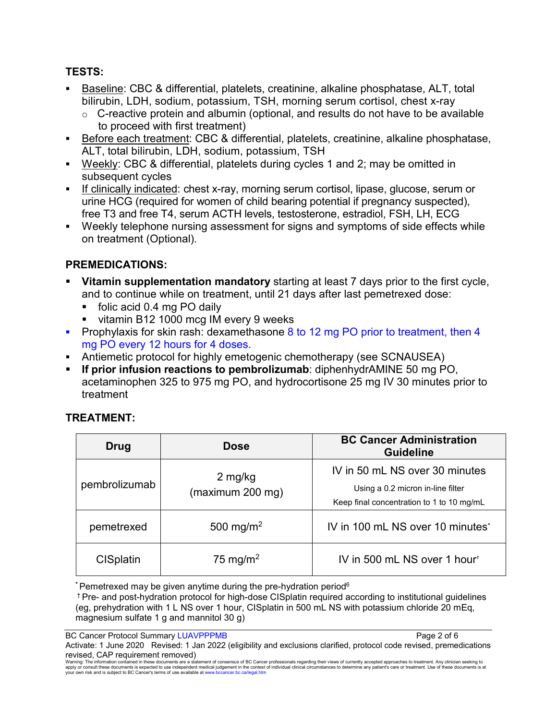## **TESTS:**

- Baseline: CBC & differential, platelets, creatinine, alkaline phosphatase, ALT, total bilirubin, LDH, sodium, potassium, TSH, morning serum cortisol, chest x-ray
	- $\circ$  C-reactive protein and albumin (optional, and results do not have to be available to proceed with first treatment)
- Before each treatment: CBC & differential, platelets, creatinine, alkaline phosphatase, ALT, total bilirubin, LDH, sodium, potassium, TSH
- Weekly: CBC & differential, platelets during cycles 1 and 2; may be omitted in subsequent cycles
- If clinically indicated: chest x-ray, morning serum cortisol, lipase, glucose, serum or urine HCG (required for women of child bearing potential if pregnancy suspected), free T3 and free T4, serum ACTH levels, testosterone, estradiol, FSH, LH, ECG
- Weekly telephone nursing assessment for signs and symptoms of side effects while on treatment (Optional).

## **PREMEDICATIONS:**

- **Vitamin supplementation mandatory** starting at least 7 days prior to the first cycle, and to continue while on treatment, until 21 days after last pemetrexed dose:
	- folic acid 0.4 mg PO daily
	- vitamin B12 1000 mcg IM every 9 weeks
- **Prophylaxis for skin rash: dexamethasone 8 to 12 mg PO prior to treatment, then 4** mg PO every 12 hours for 4 doses.
- Antiemetic protocol for highly emetogenic chemotherapy (see SCNAUSEA)
- **If prior infusion reactions to pembrolizumab**: diphenhydrAMINE 50 mg PO, acetaminophen 325 to 975 mg PO, and hydrocortisone 25 mg IV 30 minutes prior to treatment

| <b>Drug</b>      | <b>Dose</b>                 | <b>BC Cancer Administration</b><br><b>Guideline</b>                                                              |
|------------------|-----------------------------|------------------------------------------------------------------------------------------------------------------|
| pembrolizumab    | 2 mg/kg<br>(maximum 200 mg) | IV in 50 mL NS over 30 minutes<br>Using a 0.2 micron in-line filter<br>Keep final concentration to 1 to 10 mg/mL |
| pemetrexed       | 500 mg/m <sup>2</sup>       | IV in 100 mL NS over 10 minutes*                                                                                 |
| <b>CISplatin</b> | 75 mg/m <sup>2</sup>        | IV in 500 mL NS over 1 hour <sup>+</sup>                                                                         |

## **TREATMENT:**

**\*** Pemetrexed may be given anytime during the pre-hydration period6

† Pre- and post-hydration protocol for high-dose CISplatin required according to institutional guidelines (eg, prehydration with 1 L NS over 1 hour, CISplatin in 500 mL NS with potassium chloride 20 mEq, magnesium sulfate 1 g and mannitol 30 g)

BC Cancer Protocol Summary LUAVPPPMB **Page 2 of 6** 

Activate: 1 June 2020 Revised: 1 Jan 2022 (eligibility and exclusions clarified, protocol code revised, premedications revised, CAP requirement removed)

Warning: The information contained in these documents are a statement of consensus of BC Cancer professionals regarding their views of currently accepted approaches to treatment. Any clinician seeking to<br>apply or consult t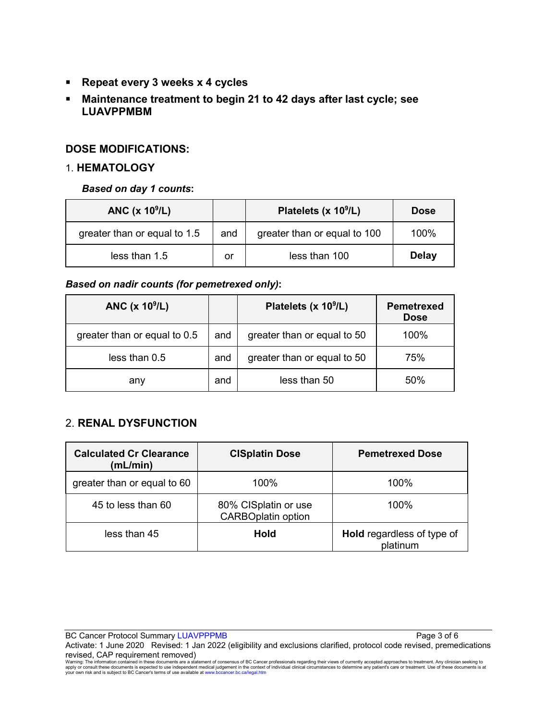- **Repeat every 3 weeks x 4 cycles**
- **Maintenance treatment to begin 21 to 42 days after last cycle; see LUAVPPMBM**

#### **DOSE MODIFICATIONS:**

#### 1. **HEMATOLOGY**

#### *Based on day 1 counts***:**

| ANC $(x 109/L)$              |     | Platelets (x 10 <sup>9</sup> /L) | <b>Dose</b>  |
|------------------------------|-----|----------------------------------|--------------|
| greater than or equal to 1.5 | and | greater than or equal to 100     | $100\%$      |
| less than 1.5                | or  | less than 100                    | <b>Delay</b> |

#### *Based on nadir counts (for pemetrexed only)***:**

| ANC (x 10 <sup>9</sup> /L)   |     | Platelets (x 10 <sup>9</sup> /L) | <b>Pemetrexed</b><br><b>Dose</b> |
|------------------------------|-----|----------------------------------|----------------------------------|
| greater than or equal to 0.5 | and | greater than or equal to 50      | 100%                             |
| less than 0.5                | and | greater than or equal to 50      | 75%                              |
| any                          | and | less than 50                     | 50%                              |

#### 2. **RENAL DYSFUNCTION**

| <b>Calculated Cr Clearance</b><br>(mL/min) | <b>CISplatin Dose</b>                             | <b>Pemetrexed Dose</b>                        |
|--------------------------------------------|---------------------------------------------------|-----------------------------------------------|
| greater than or equal to 60                | $100\%$                                           | $100\%$                                       |
| 45 to less than 60                         | 80% CISplatin or use<br><b>CARBOplatin option</b> | $100\%$                                       |
| less than 45                               | Hold                                              | <b>Hold</b> regardless of type of<br>platinum |

BC Cancer Protocol Summary LUAVPPPMB **Page 3 of 6** and 2 of 6

Activate: 1 June 2020 Revised: 1 Jan 2022 (eligibility and exclusions clarified, protocol code revised, premedications revised, CAP requirement removed)

Warning: The information contained in these documents are a statement of consensus of BC Cancer professionals regarding their views of currently accepted approaches to treatment. Any clinician seeking to<br>apply or consult t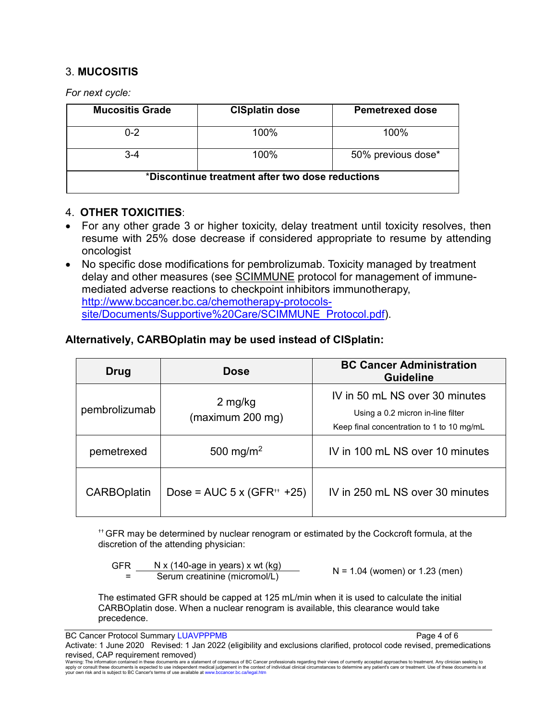### 3. **MUCOSITIS**

*For next cycle:*

| <b>Mucositis Grade</b>                           | <b>CISplatin dose</b> | <b>Pemetrexed dose</b> |
|--------------------------------------------------|-----------------------|------------------------|
| $0 - 2$                                          | 100%                  | $100\%$                |
| $3-4$                                            | 100%                  | 50% previous dose*     |
| *Discontinue treatment after two dose reductions |                       |                        |

#### 4. **OTHER TOXICITIES**:

- For any other grade 3 or higher toxicity, delay treatment until toxicity resolves, then resume with 25% dose decrease if considered appropriate to resume by attending oncologist
- No specific dose modifications for pembrolizumab. Toxicity managed by treatment delay and other measures (see [SCIMMUNE](http://www.bccancer.bc.ca/chemotherapy-protocols-site/Documents/Supportive%20Care/SCIMMUNE_Protocol.pdf) protocol for management of immunemediated adverse reactions to checkpoint inhibitors immunotherapy, [http://www.bccancer.bc.ca/chemotherapy-protocols](http://www.bccancer.bc.ca/chemotherapy-protocols-site/Documents/Supportive%20Care/SCIMMUNE_Protocol.pdf)[site/Documents/Supportive%20Care/SCIMMUNE\\_Protocol.pdf\)](http://www.bccancer.bc.ca/chemotherapy-protocols-site/Documents/Supportive%20Care/SCIMMUNE_Protocol.pdf).

### **Alternatively, CARBOplatin may be used instead of CISplatin:**

| Drug               | <b>Dose</b>                               | <b>BC Cancer Administration</b><br><b>Guideline</b>                 |
|--------------------|-------------------------------------------|---------------------------------------------------------------------|
| pembrolizumab      | 2 mg/kg                                   | IV in 50 mL NS over 30 minutes<br>Using a 0.2 micron in-line filter |
| (maximum 200 mg)   | Keep final concentration to 1 to 10 mg/mL |                                                                     |
| pemetrexed         | 500 mg/m <sup>2</sup>                     | IV in 100 mL NS over 10 minutes                                     |
| <b>CARBOplatin</b> | Dose = $AUC$ 5 x (GFR <sup>++</sup> +25)  | IV in 250 mL NS over 30 minutes                                     |

†† GFR may be determined by nuclear renogram or estimated by the Cockcroft formula, at the discretion of the attending physician:

 GFR =  $N \times (140 \text{-age in years}) \times wt (kg)$ <br>Serum creatinine (micromol/L)  $N = 1.04$  (women) or 1.23 (men)

The estimated GFR should be capped at 125 mL/min when it is used to calculate the initial CARBOplatin dose. When a nuclear renogram is available, this clearance would take precedence.

BC Cancer Protocol Summary LUAVPPPMB **Page 4 of 6** 

Activate: 1 June 2020 Revised: 1 Jan 2022 (eligibility and exclusions clarified, protocol code revised, premedications revised, CAP requirement removed)

Warning: The information contained in these documents are a statement of consensus of BC Cancer professionals regarding their views of currently accepted approaches to treatment. Any clinician seeking to<br>apply or consult t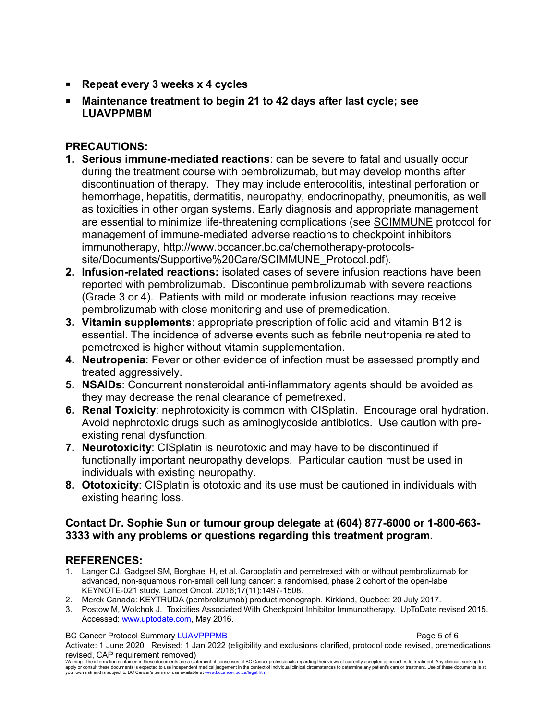- **Repeat every 3 weeks x 4 cycles**
- **Maintenance treatment to begin 21 to 42 days after last cycle; see LUAVPPMBM**

## **PRECAUTIONS:**

- **1. Serious immune-mediated reactions**: can be severe to fatal and usually occur during the treatment course with pembrolizumab, but may develop months after discontinuation of therapy. They may include enterocolitis, intestinal perforation or hemorrhage, hepatitis, dermatitis, neuropathy, endocrinopathy, pneumonitis, as well as toxicities in other organ systems. Early diagnosis and appropriate management are essential to minimize life-threatening complications (see [SCIMMUNE](http://www.bccancer.bc.ca/chemotherapy-protocols-site/Documents/Supportive%20Care/SCIMMUNE_Protocol.pdf) protocol for management of immune-mediated adverse reactions to checkpoint inhibitors immunotherapy, http://www.bccancer.bc.ca/chemotherapy-protocolssite/Documents/Supportive%20Care/SCIMMUNE\_Protocol.pdf).
- **2. Infusion-related reactions:** isolated cases of severe infusion reactions have been reported with pembrolizumab. Discontinue pembrolizumab with severe reactions (Grade 3 or 4). Patients with mild or moderate infusion reactions may receive pembrolizumab with close monitoring and use of premedication.
- **3. Vitamin supplements**: appropriate prescription of folic acid and vitamin B12 is essential. The incidence of adverse events such as febrile neutropenia related to pemetrexed is higher without vitamin supplementation.
- **4. Neutropenia**: Fever or other evidence of infection must be assessed promptly and treated aggressively.
- **5. NSAIDs**: Concurrent nonsteroidal anti-inflammatory agents should be avoided as they may decrease the renal clearance of pemetrexed.
- **6. Renal Toxicity**: nephrotoxicity is common with CISplatin. Encourage oral hydration. Avoid nephrotoxic drugs such as aminoglycoside antibiotics. Use caution with preexisting renal dysfunction.
- **7. Neurotoxicity**: CISplatin is neurotoxic and may have to be discontinued if functionally important neuropathy develops. Particular caution must be used in individuals with existing neuropathy.
- **8. Ototoxicity**: CISplatin is ototoxic and its use must be cautioned in individuals with existing hearing loss.

### **Contact Dr. Sophie Sun or tumour group delegate at (604) 877-6000 or 1-800-663- 3333 with any problems or questions regarding this treatment program.**

## **REFERENCES:**

- 1. Langer CJ, Gadgeel SM, Borghaei H, et al. Carboplatin and pemetrexed with or without pembrolizumab for advanced, non-squamous non-small cell lung cancer: a randomised, phase 2 cohort of the open-label KEYNOTE-021 study. Lancet Oncol. 2016;17(11):1497-1508.
- 2. Merck Canada: KEYTRUDA (pembrolizumab) product monograph. Kirkland, Quebec: 20 July 2017.
- 3. Postow M, Wolchok J. Toxicities Associated With Checkpoint Inhibitor Immunotherapy. UpToDate revised 2015. Accessed: [www.uptodate.com,](http://www.uptodate.com/) May 2016.

BC Cancer Protocol Summary LUAVPPPMB **Page 5 of 6** 

Activate: 1 June 2020 Revised: 1 Jan 2022 (eligibility and exclusions clarified, protocol code revised, premedications revised, CAP requirement removed)

Warning: The information contained in these documents are a statement of consensus of BC Cancer professionals regarding their views of currently accepted approaches to treatment. Any clinician seeking to<br>apply or consult t